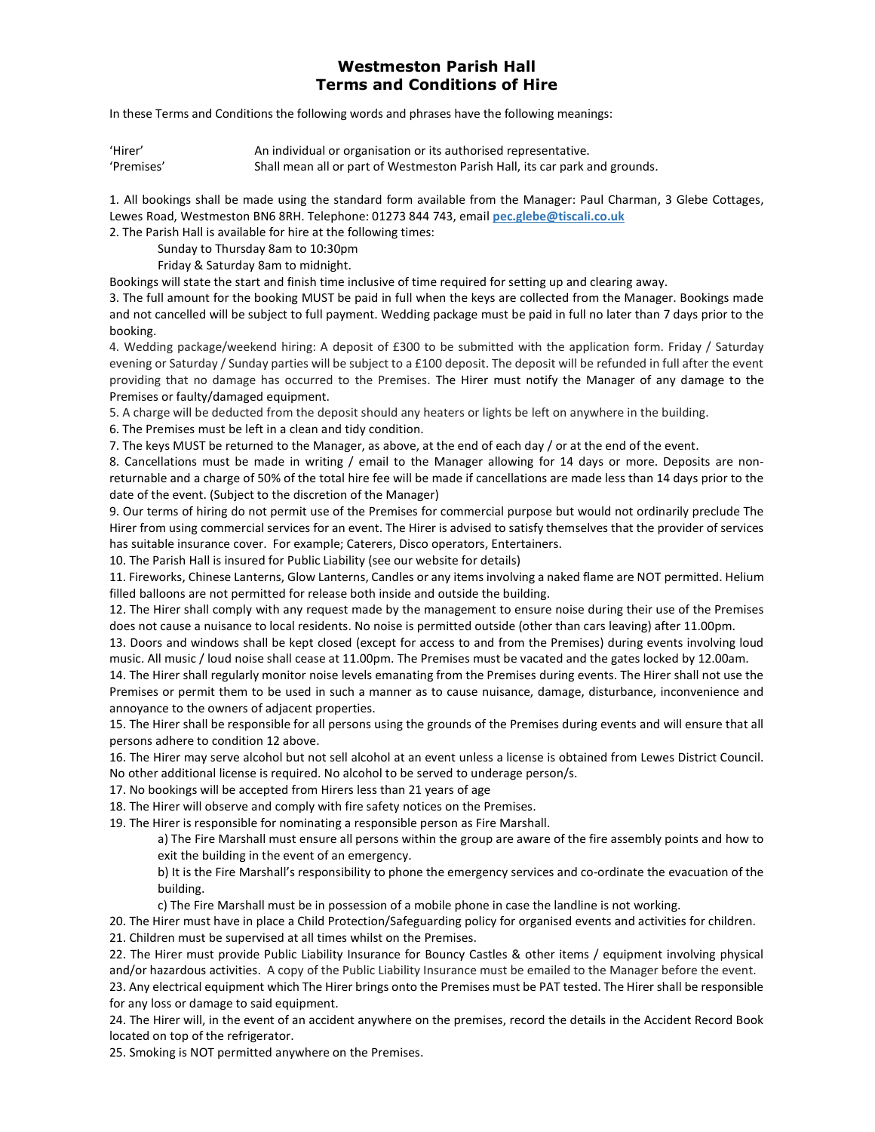## Westmeston Parish Hall Terms and Conditions of Hire

In these Terms and Conditions the following words and phrases have the following meanings:

| 'Hirer'    | An individual or organisation or its authorised representative.             |
|------------|-----------------------------------------------------------------------------|
| 'Premises' | Shall mean all or part of Westmeston Parish Hall, its car park and grounds. |

1. All bookings shall be made using the standard form available from the Manager: Paul Charman, 3 Glebe Cottages, Lewes Road, Westmeston BN6 8RH. Telephone: 01273 844 743, email pec.glebe@tiscali.co.uk

2. The Parish Hall is available for hire at the following times:

Sunday to Thursday 8am to 10:30pm

Friday & Saturday 8am to midnight.

Bookings will state the start and finish time inclusive of time required for setting up and clearing away.

3. The full amount for the booking MUST be paid in full when the keys are collected from the Manager. Bookings made and not cancelled will be subject to full payment. Wedding package must be paid in full no later than 7 days prior to the booking.

4. Wedding package/weekend hiring: A deposit of £300 to be submitted with the application form. Friday / Saturday evening or Saturday / Sunday parties will be subject to a £100 deposit. The deposit will be refunded in full after the event providing that no damage has occurred to the Premises. The Hirer must notify the Manager of any damage to the Premises or faulty/damaged equipment.

5. A charge will be deducted from the deposit should any heaters or lights be left on anywhere in the building.

6. The Premises must be left in a clean and tidy condition.

7. The keys MUST be returned to the Manager, as above, at the end of each day / or at the end of the event.

8. Cancellations must be made in writing / email to the Manager allowing for 14 days or more. Deposits are nonreturnable and a charge of 50% of the total hire fee will be made if cancellations are made less than 14 days prior to the date of the event. (Subject to the discretion of the Manager)

9. Our terms of hiring do not permit use of the Premises for commercial purpose but would not ordinarily preclude The Hirer from using commercial services for an event. The Hirer is advised to satisfy themselves that the provider of services has suitable insurance cover. For example; Caterers, Disco operators, Entertainers.

10. The Parish Hall is insured for Public Liability (see our website for details)

11. Fireworks, Chinese Lanterns, Glow Lanterns, Candles or any items involving a naked flame are NOT permitted. Helium filled balloons are not permitted for release both inside and outside the building.

12. The Hirer shall comply with any request made by the management to ensure noise during their use of the Premises does not cause a nuisance to local residents. No noise is permitted outside (other than cars leaving) after 11.00pm.

13. Doors and windows shall be kept closed (except for access to and from the Premises) during events involving loud music. All music / loud noise shall cease at 11.00pm. The Premises must be vacated and the gates locked by 12.00am.

14. The Hirer shall regularly monitor noise levels emanating from the Premises during events. The Hirer shall not use the Premises or permit them to be used in such a manner as to cause nuisance, damage, disturbance, inconvenience and annoyance to the owners of adjacent properties.

15. The Hirer shall be responsible for all persons using the grounds of the Premises during events and will ensure that all persons adhere to condition 12 above.

16. The Hirer may serve alcohol but not sell alcohol at an event unless a license is obtained from Lewes District Council.

No other additional license is required. No alcohol to be served to underage person/s.

17. No bookings will be accepted from Hirers less than 21 years of age

18. The Hirer will observe and comply with fire safety notices on the Premises.

19. The Hirer is responsible for nominating a responsible person as Fire Marshall.

a) The Fire Marshall must ensure all persons within the group are aware of the fire assembly points and how to exit the building in the event of an emergency.

b) It is the Fire Marshall's responsibility to phone the emergency services and co-ordinate the evacuation of the building.

c) The Fire Marshall must be in possession of a mobile phone in case the landline is not working.

20. The Hirer must have in place a Child Protection/Safeguarding policy for organised events and activities for children. 21. Children must be supervised at all times whilst on the Premises.

22. The Hirer must provide Public Liability Insurance for Bouncy Castles & other items / equipment involving physical and/or hazardous activities. A copy of the Public Liability Insurance must be emailed to the Manager before the event.

23. Any electrical equipment which The Hirer brings onto the Premises must be PAT tested. The Hirer shall be responsible for any loss or damage to said equipment.

24. The Hirer will, in the event of an accident anywhere on the premises, record the details in the Accident Record Book located on top of the refrigerator.

25. Smoking is NOT permitted anywhere on the Premises.